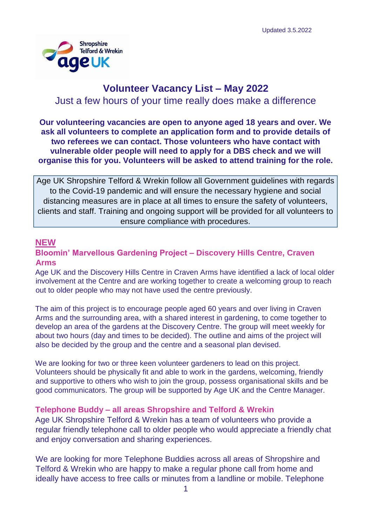

# **Volunteer Vacancy List – May 2022**

Just a few hours of your time really does make a difference

**Our volunteering vacancies are open to anyone aged 18 years and over. We ask all volunteers to complete an application form and to provide details of two referees we can contact. Those volunteers who have contact with vulnerable older people will need to apply for a DBS check and we will organise this for you. Volunteers will be asked to attend training for the role.**

Age UK Shropshire Telford & Wrekin follow all Government guidelines with regards to the Covid-19 pandemic and will ensure the necessary hygiene and social distancing measures are in place at all times to ensure the safety of volunteers, clients and staff. Training and ongoing support will be provided for all volunteers to ensure compliance with procedures.

### **NEW**

### **Bloomin' Marvellous Gardening Project – Discovery Hills Centre, Craven Arms**

Age UK and the Discovery Hills Centre in Craven Arms have identified a lack of local older involvement at the Centre and are working together to create a welcoming group to reach out to older people who may not have used the centre previously.

The aim of this project is to encourage people aged 60 years and over living in Craven Arms and the surrounding area, with a shared interest in gardening, to come together to develop an area of the gardens at the Discovery Centre. The group will meet weekly for about two hours (day and times to be decided). The outline and aims of the project will also be decided by the group and the centre and a seasonal plan devised.

We are looking for two or three keen volunteer gardeners to lead on this project. Volunteers should be physically fit and able to work in the gardens, welcoming, friendly and supportive to others who wish to join the group, possess organisational skills and be good communicators. The group will be supported by Age UK and the Centre Manager.

### **Telephone Buddy – all areas Shropshire and Telford & Wrekin**

Age UK Shropshire Telford & Wrekin has a team of volunteers who provide a regular friendly telephone call to older people who would appreciate a friendly chat and enjoy conversation and sharing experiences.

We are looking for more Telephone Buddies across all areas of Shropshire and Telford & Wrekin who are happy to make a regular phone call from home and ideally have access to free calls or minutes from a landline or mobile. Telephone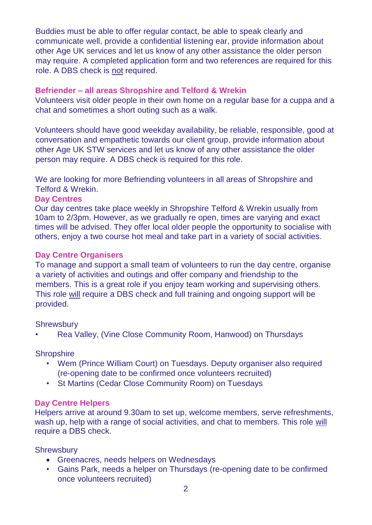Buddies must be able to offer regular contact, be able to speak clearly and communicate well, provide a confidential listening ear, provide information about other Age UK services and let us know of any other assistance the older person may require. A completed application form and two references are required for this role. A DBS check is not required.

### **Befriender – all areas Shropshire and Telford & Wrekin**

Volunteers visit older people in their own home on a regular base for a cuppa and a chat and sometimes a short outing such as a walk.

Volunteers should have good weekday availability, be reliable, responsible, good at conversation and empathetic towards our client group, provide information about other Age UK STW services and let us know of any other assistance the older person may require. A DBS check is required for this role.

We are looking for more Befriending volunteers in all areas of Shropshire and Telford & Wrekin.

### **Day Centres**

Our day centres take place weekly in Shropshire Telford & Wrekin usually from 10am to 2/3pm. However, as we gradually re open, times are varying and exact times will be advised. They offer local older people the opportunity to socialise with others, enjoy a two course hot meal and take part in a variety of social activities.

### **Day Centre Organisers**

To manage and support a small team of volunteers to run the day centre, organise a variety of activities and outings and offer company and friendship to the members. This is a great role if you enjoy team working and supervising others. This role will require a DBS check and full training and ongoing support will be provided.

### **Shrewsbury**

• Rea Valley, (Vine Close Community Room, Hanwood) on Thursdays

### **Shropshire**

- Wem (Prince William Court) on Tuesdays. Deputy organiser also required (re-opening date to be confirmed once volunteers recruited)
- St Martins (Cedar Close Community Room) on Tuesdays

### **Day Centre Helpers**

Helpers arrive at around 9.30am to set up, welcome members, serve refreshments, wash up, help with a range of social activities, and chat to members. This role will require a DBS check.

### **Shrewsbury**

- Greenacres, needs helpers on Wednesdays
- Gains Park, needs a helper on Thursdays (re-opening date to be confirmed once volunteers recruited)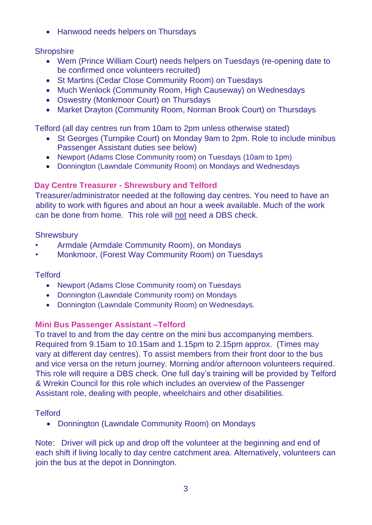• Hanwood needs helpers on Thursdays

# **Shropshire**

- Wem (Prince William Court) needs helpers on Tuesdays (re-opening date to be confirmed once volunteers recruited)
- St Martins (Cedar Close Community Room) on Tuesdays
- Much Wenlock (Community Room, High Causeway) on Wednesdays
- Oswestry (Monkmoor Court) on Thursdays
- Market Drayton (Community Room, Norman Brook Court) on Thursdays

Telford (all day centres run from 10am to 2pm unless otherwise stated)

- St Georges (Turnpike Court) on Monday 9am to 2pm. Role to include minibus Passenger Assistant duties see below)
- Newport (Adams Close Community room) on Tuesdays (10am to 1pm)
- Donnington (Lawndale Community Room) on Mondays and Wednesdays

# **Day Centre Treasurer - Shrewsbury and Telford**

Treasurer/administrator needed at the following day centres. You need to have an ability to work with figures and about an hour a week available. Much of the work can be done from home. This role will not need a DBS check.

### **Shrewsbury**

- Armdale (Armdale Community Room), on Mondays
- Monkmoor, (Forest Way Community Room) on Tuesdays

### **Telford**

- Newport (Adams Close Community room) on Tuesdays
- Donnington (Lawndale Community room) on Mondays
- Donnington (Lawndale Community Room) on Wednesdays.

### **Mini Bus Passenger Assistant –Telford**

To travel to and from the day centre on the mini bus accompanying members. Required from 9.15am to 10.15am and 1.15pm to 2.15pm approx. (Times may vary at different day centres). To assist members from their front door to the bus and vice versa on the return journey. Morning and/or afternoon volunteers required. This role will require a DBS check. One full day's training will be provided by Telford & Wrekin Council for this role which includes an overview of the Passenger Assistant role, dealing with people, wheelchairs and other disabilities.

### **Telford**

Donnington (Lawndale Community Room) on Mondays

Note: Driver will pick up and drop off the volunteer at the beginning and end of each shift if living locally to day centre catchment area. Alternatively, volunteers can join the bus at the depot in Donnington.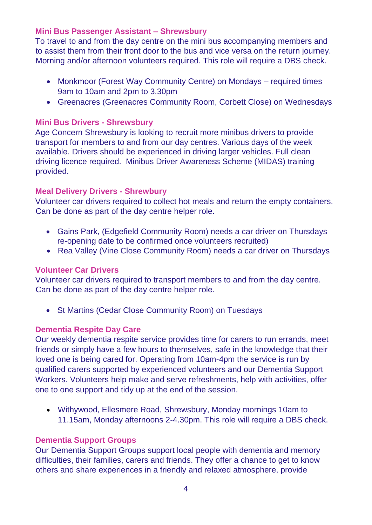### **Mini Bus Passenger Assistant – Shrewsbury**

To travel to and from the day centre on the mini bus accompanying members and to assist them from their front door to the bus and vice versa on the return journey. Morning and/or afternoon volunteers required. This role will require a DBS check.

- Monkmoor (Forest Way Community Centre) on Mondays required times 9am to 10am and 2pm to 3.30pm
- Greenacres (Greenacres Community Room, Corbett Close) on Wednesdays

### **Mini Bus Drivers - Shrewsbury**

Age Concern Shrewsbury is looking to recruit more minibus drivers to provide transport for members to and from our day centres. Various days of the week available. Drivers should be experienced in driving larger vehicles. Full clean driving licence required. Minibus Driver Awareness Scheme (MIDAS) training provided.

### **Meal Delivery Drivers - Shrewbury**

Volunteer car drivers required to collect hot meals and return the empty containers. Can be done as part of the day centre helper role.

- Gains Park, (Edgefield Community Room) needs a car driver on Thursdays re-opening date to be confirmed once volunteers recruited)
- Rea Valley (Vine Close Community Room) needs a car driver on Thursdays

### **Volunteer Car Drivers**

Volunteer car drivers required to transport members to and from the day centre. Can be done as part of the day centre helper role.

• St Martins (Cedar Close Community Room) on Tuesdays

### **Dementia Respite Day Care**

Our weekly dementia respite service provides time for carers to run errands, meet friends or simply have a few hours to themselves, safe in the knowledge that their loved one is being cared for. Operating from 10am-4pm the service is run by qualified carers supported by experienced volunteers and our Dementia Support Workers. Volunteers help make and serve refreshments, help with activities, offer one to one support and tidy up at the end of the session.

 Withywood, Ellesmere Road, Shrewsbury, Monday mornings 10am to 11.15am, Monday afternoons 2-4.30pm. This role will require a DBS check.

### **Dementia Support Groups**

Our Dementia Support Groups support local people with dementia and memory difficulties, their families, carers and friends. They offer a chance to get to know others and share experiences in a friendly and relaxed atmosphere, provide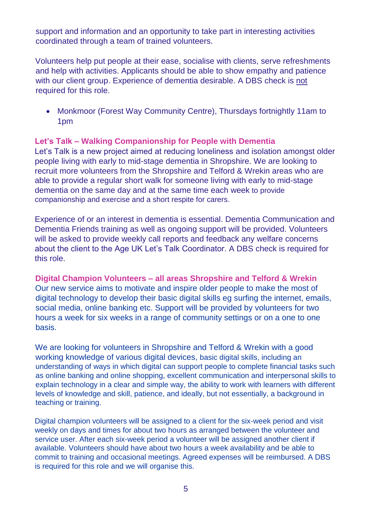support and information and an opportunity to take part in interesting activities coordinated through a team of trained volunteers.

Volunteers help put people at their ease, socialise with clients, serve refreshments and help with activities. Applicants should be able to show empathy and patience with our client group. Experience of dementia desirable. A DBS check is not required for this role.

• Monkmoor (Forest Way Community Centre), Thursdays fortnightly 11am to 1pm

### **Let's Talk – Walking Companionship for People with Dementia**

Let's Talk is a new project aimed at reducing loneliness and isolation amongst older people living with early to mid-stage dementia in Shropshire. We are looking to recruit more volunteers from the Shropshire and Telford & Wrekin areas who are able to provide a regular short walk for someone living with early to mid-stage dementia on the same day and at the same time each week to provide companionship and exercise and a short respite for carers.

Experience of or an interest in dementia is essential. Dementia Communication and Dementia Friends training as well as ongoing support will be provided. Volunteers will be asked to provide weekly call reports and feedback any welfare concerns about the client to the Age UK Let's Talk Coordinator. A DBS check is required for this role.

**Digital Champion Volunteers – all areas Shropshire and Telford & Wrekin** Our new service aims to motivate and inspire older people to make the most of digital technology to develop their basic digital skills eg surfing the internet, emails, social media, online banking etc. Support will be provided by volunteers for two hours a week for six weeks in a range of community settings or on a one to one basis.

We are looking for volunteers in Shropshire and Telford & Wrekin with a good working knowledge of various digital devices, basic digital skills, including an understanding of ways in which digital can support people to complete financial tasks such as online banking and online shopping, excellent communication and interpersonal skills to explain technology in a clear and simple way, the ability to work with learners with different levels of knowledge and skill, patience, and ideally, but not essentially, a background in teaching or training.

Digital champion volunteers will be assigned to a client for the six-week period and visit weekly on days and times for about two hours as arranged between the volunteer and service user. After each six-week period a volunteer will be assigned another client if available. Volunteers should have about two hours a week availability and be able to commit to training and occasional meetings. Agreed expenses will be reimbursed. A DBS is required for this role and we will organise this.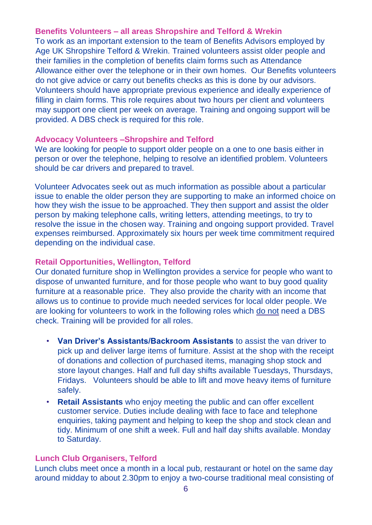### **Benefits Volunteers – all areas Shropshire and Telford & Wrekin**

To work as an important extension to the team of Benefits Advisors employed by Age UK Shropshire Telford & Wrekin. Trained volunteers assist older people and their families in the completion of benefits claim forms such as Attendance Allowance either over the telephone or in their own homes. Our Benefits volunteers do not give advice or carry out benefits checks as this is done by our advisors. Volunteers should have appropriate previous experience and ideally experience of filling in claim forms. This role requires about two hours per client and volunteers may support one client per week on average. Training and ongoing support will be provided. A DBS check is required for this role.

### **Advocacy Volunteers –Shropshire and Telford**

We are looking for people to support older people on a one to one basis either in person or over the telephone, helping to resolve an identified problem. Volunteers should be car drivers and prepared to travel.

Volunteer Advocates seek out as much information as possible about a particular issue to enable the older person they are supporting to make an informed choice on how they wish the issue to be approached. They then support and assist the older person by making telephone calls, writing letters, attending meetings, to try to resolve the issue in the chosen way. Training and ongoing support provided. Travel expenses reimbursed. Approximately six hours per week time commitment required depending on the individual case.

### **Retail Opportunities, Wellington, Telford**

Our donated furniture shop in Wellington provides a service for people who want to dispose of unwanted furniture, and for those people who want to buy good quality furniture at a reasonable price. They also provide the charity with an income that allows us to continue to provide much needed services for local older people. We are looking for volunteers to work in the following roles which do not need a DBS check. Training will be provided for all roles.

- **Van Driver's Assistants/Backroom Assistants** to assist the van driver to pick up and deliver large items of furniture. Assist at the shop with the receipt of donations and collection of purchased items, managing shop stock and store layout changes. Half and full day shifts available Tuesdays, Thursdays, Fridays. Volunteers should be able to lift and move heavy items of furniture safely.
- **Retail Assistants** who enjoy meeting the public and can offer excellent customer service. Duties include dealing with face to face and telephone enquiries, taking payment and helping to keep the shop and stock clean and tidy. Minimum of one shift a week. Full and half day shifts available. Monday to Saturday.

### **Lunch Club Organisers, Telford**

Lunch clubs meet once a month in a local pub, restaurant or hotel on the same day around midday to about 2.30pm to enjoy a two-course traditional meal consisting of